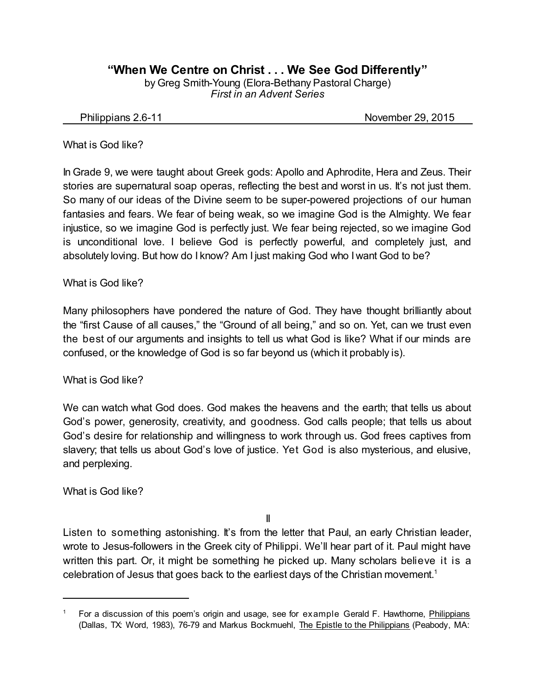## **"When We Centre on Christ . . . We See God Differently"**

by Greg Smith-Young (Elora-Bethany Pastoral Charge) *First in an Advent Series*

Philippians 2.6-11 November 29, 2015

#### What is God like?

In Grade 9, we were taught about Greek gods: Apollo and Aphrodite, Hera and Zeus. Their stories are supernatural soap operas, reflecting the best and worst in us. It's not just them. So many of our ideas of the Divine seem to be super-powered projections of our human fantasies and fears. We fear of being weak, so we imagine God is the Almighty. We fear injustice, so we imagine God is perfectly just. We fear being rejected, so we imagine God is unconditional love. I believe God is perfectly powerful, and completely just, and absolutely loving. But how do I know? Am I just making God who I want God to be?

#### What is God like?

Many philosophers have pondered the nature of God. They have thought brilliantly about the "first Cause of all causes," the "Ground of all being," and so on. Yet, can we trust even the best of our arguments and insights to tell us what God is like? What if our minds are confused, or the knowledge of God is so far beyond us (which it probably is).

What is God like?

We can watch what God does. God makes the heavens and the earth; that tells us about God's power, generosity, creativity, and goodness. God calls people; that tells us about God's desire for relationship and willingness to work through us. God frees captives from slavery; that tells us about God's love of justice. Yet God is also mysterious, and elusive, and perplexing.

What is God like?

II

Listen to something astonishing. It's from the letter that Paul, an early Christian leader, wrote to Jesus-followers in the Greek city of Philippi. We'll hear part of it. Paul might have written this part. Or, it might be something he picked up. Many scholars believe it is a celebration of Jesus that goes back to the earliest days of the Christian movement. 1

<sup>1</sup> For a discussion of this poem's origin and usage, see for example Gerald F. Hawthorne, Philippians (Dallas, TX: Word, 1983), 76-79 and Markus Bockmuehl, The Epistle to the Philippians (Peabody, MA: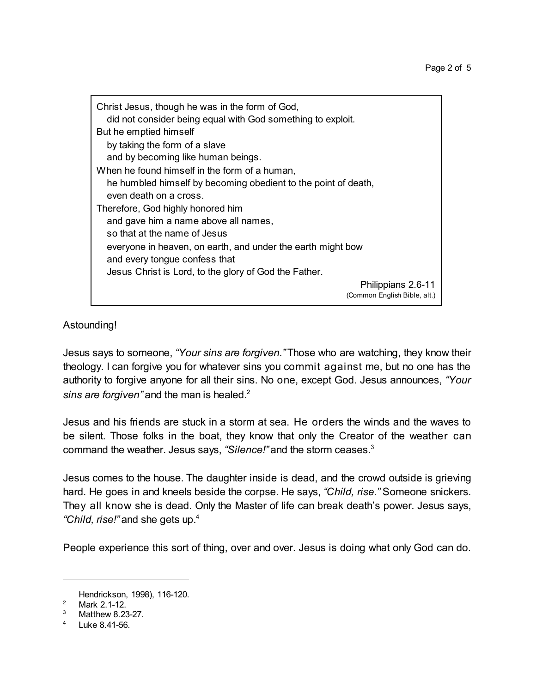| Christ Jesus, though he was in the form of God,<br>did not consider being equal with God something to exploit. |                                                    |
|----------------------------------------------------------------------------------------------------------------|----------------------------------------------------|
| But he emptied himself                                                                                         |                                                    |
| by taking the form of a slave                                                                                  |                                                    |
| and by becoming like human beings.                                                                             |                                                    |
| When he found himself in the form of a human,                                                                  |                                                    |
| he humbled himself by becoming obedient to the point of death,                                                 |                                                    |
| even death on a cross.                                                                                         |                                                    |
| Therefore, God highly honored him                                                                              |                                                    |
| and gave him a name above all names,                                                                           |                                                    |
| so that at the name of Jesus                                                                                   |                                                    |
| everyone in heaven, on earth, and under the earth might bow                                                    |                                                    |
| and every tongue confess that                                                                                  |                                                    |
| Jesus Christ is Lord, to the glory of God the Father.                                                          |                                                    |
|                                                                                                                | Philippians 2.6-11<br>(Common English Bible, alt.) |
|                                                                                                                |                                                    |

### Astounding!

Jesus says to someone, *"Your sins are forgiven."* Those who are watching, they know their theology. I can forgive you for whatever sins you commit against me, but no one has the authority to forgive anyone for all their sins. No one, except God. Jesus announces, *"Your sins are forgiven"* and the man is healed.<sup>2</sup>

Jesus and his friends are stuck in a storm at sea. He orders the winds and the waves to be silent. Those folks in the boat, they know that only the Creator of the weather can command the weather. Jesus says, *"Silence!"* and the storm ceases.<sup>3</sup>

Jesus comes to the house. The daughter inside is dead, and the crowd outside is grieving hard. He goes in and kneels beside the corpse. He says, *"Child, rise."* Someone snickers. They all know she is dead. Only the Master of life can break death's power. Jesus says, *"Child, rise!"* and she gets up.<sup>4</sup>

People experience this sort of thing, over and over. Jesus is doing what only God can do.

Hendrickson, 1998), 116-120.

<sup>&</sup>lt;sup>2</sup> Mark 2.1-12.

Matthew 8.23-27.

<sup>4</sup> Luke 8.41-56.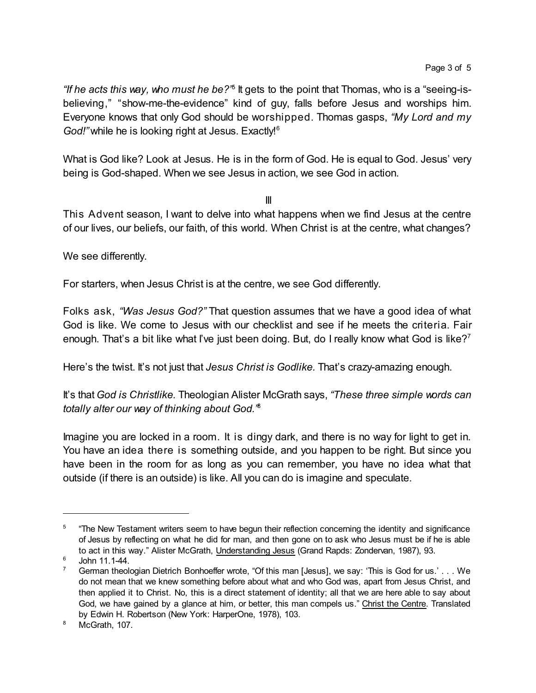*"If he acts this way, who must he be?"*<sup>5</sup> It gets to the point that Thomas, who is a "seeing-isbelieving," "show-me-the-evidence" kind of guy, falls before Jesus and worships him. Everyone knows that only God should be worshipped. Thomas gasps, *"My Lord and my* God!" while he is looking right at Jesus. Exactly!<sup>6</sup>

What is God like? Look at Jesus. He is in the form of God. He is equal to God. Jesus' very being is God-shaped. When we see Jesus in action, we see God in action.

III

This Advent season, I want to delve into what happens when we find Jesus at the centre of our lives, our beliefs, our faith, of this world. When Christ is at the centre, what changes?

We see differently.

For starters, when Jesus Christ is at the centre, we see God differently.

Folks ask, *"Was Jesus God?"* That question assumes that we have a good idea of what God is like. We come to Jesus with our checklist and see if he meets the criteria. Fair enough. That's a bit like what I've just been doing. But, do I really know what God is like?<sup>7</sup>

Here's the twist. It's not just that *Jesus Christ is Godlike.* That's crazy-amazing enough.

It's that *God is Christlike.* Theologian Alister McGrath says, *"These three simple words can totally alter our way of thinking about God."* 8

Imagine you are locked in a room. It is dingy dark, and there is no way for light to get in. You have an idea there is something outside, and you happen to be right. But since you have been in the room for as long as you can remember, you have no idea what that outside (if there is an outside) is like. All you can do is imagine and speculate.

<sup>5</sup> "The New Testament writers seem to have begun their reflection concerning the identity and significance of Jesus by reflecting on what he did for man, and then gone on to ask who Jesus must be if he is able to act in this way." Alister McGrath, Understanding Jesus (Grand Rapds: Zondervan, 1987), 93.

 $6$  John 11.1-44.

German theologian Dietrich Bonhoeffer wrote, "Of this man [Jesus], we say: 'This is God for us.' . . . We do not mean that we knew something before about what and who God was, apart from Jesus Christ, and then applied it to Christ. No, this is a direct statement of identity; all that we are here able to say about God, we have gained by a glance at him, or better, this man compels us." Christ the Centre. Translated by Edwin H. Robertson (New York: HarperOne, 1978), 103.

<sup>&</sup>lt;sup>8</sup> McGrath, 107.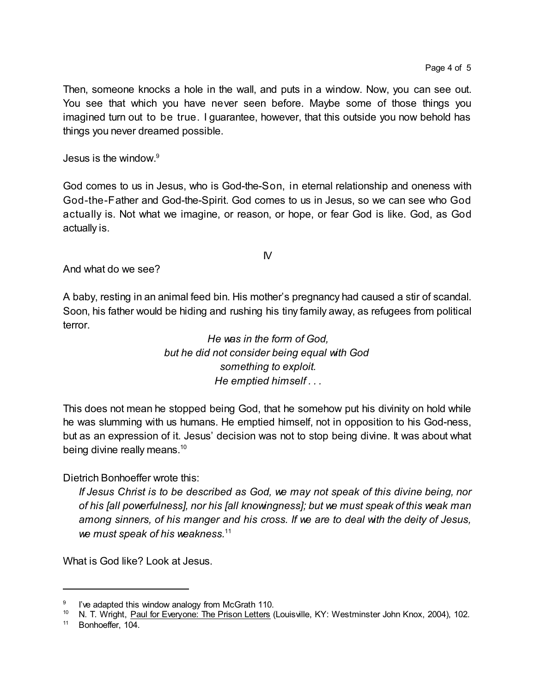Then, someone knocks a hole in the wall, and puts in a window. Now, you can see out. You see that which you have never seen before. Maybe some of those things you imagined turn out to be true. I guarantee, however, that this outside you now behold has things you never dreamed possible.

Jesus is the window. 9

God comes to us in Jesus, who is God-the-Son, in eternal relationship and oneness with God-the-Father and God-the-Spirit. God comes to us in Jesus, so we can see who God actually is. Not what we imagine, or reason, or hope, or fear God is like. God, as God actually is.

 $\mathsf{N}$ 

And what do we see?

A baby, resting in an animal feed bin. His mother's pregnancy had caused a stir of scandal. Soon, his father would be hiding and rushing his tiny family away, as refugees from political terror.

> *He was in the form of God, but he did not consider being equal with God something to exploit. He emptied himself . . .*

This does not mean he stopped being God, that he somehow put his divinity on hold while he was slumming with us humans. He emptied himself, not in opposition to his God-ness, but as an expression of it. Jesus' decision was not to stop being divine. It was about what being divine really means.<sup>10</sup>

Dietrich Bonhoeffer wrote this:

*If Jesus Christ is to be described as God, we may not speak of this divine being, nor of his [all powerfulness], nor his [all knowingness]; but we must speak of this weak man among sinners, of his manger and his cross. If we are to deal with the deity of Jesus, we must speak of his weakness.*<sup>11</sup>

What is God like? Look at Jesus.

<sup>9</sup> I've adapted this window analogy from McGrath 110.

<sup>&</sup>lt;sup>10</sup> N. T. Wright, Paul for Everyone: The Prison Letters (Louisville, KY: Westminster John Knox, 2004), 102.

<sup>&</sup>lt;sup>11</sup> Bonhoeffer, 104.